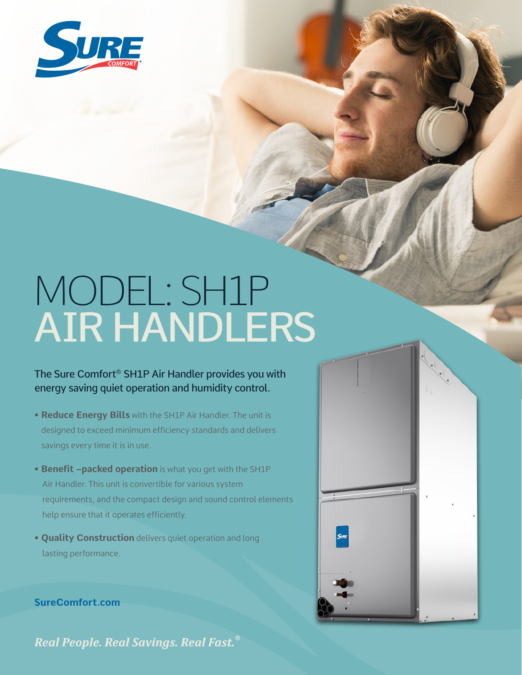

## MODEL: SH1P AIR HANDLERS

## The Sure Comfort® SH1P Air Handler provides you with energy saving quiet operation and humidity control.

- **Reduce Energy Bills** with the SH1P Air Handler. The unit is designed to exceed minimum efficiency standards and delivers savings every time it is in use.
- **Benefit –packed operation** is what you get with the SH1P Air Handler. This unit is convertible for various system requirements, and the compact design and sound control elements help ensure that it operates efficiently.
- **Quality Construction** delivers quiet operation and long lasting performance.



**SureComfort.com**

Real People. Real Savings. Real Fast.<sup>®</sup>